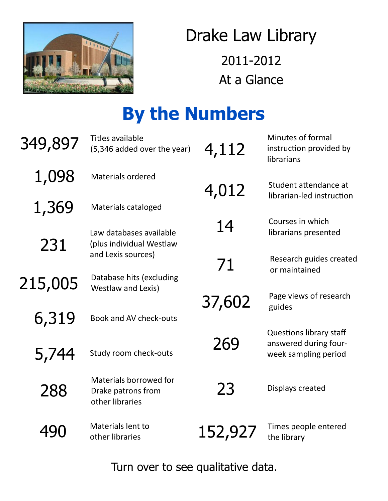

### Drake Law Library 2011-2012 At a Glance

# **By the Numbers**

| 349,897 | <b>Titles available</b><br>(5,346 added over the year)          | 4,112   | Minutes of formal<br>instruction provided by<br>librarians                      |
|---------|-----------------------------------------------------------------|---------|---------------------------------------------------------------------------------|
| 1,098   | <b>Materials ordered</b>                                        | 4,012   | Student attendance at                                                           |
| 1,369   | Materials cataloged                                             |         | librarian-led instruction                                                       |
| 231     | Law databases available<br>(plus individual Westlaw             | 14      | Courses in which<br>librarians presented                                        |
|         | and Lexis sources)                                              | 71      | Research guides created<br>or maintained                                        |
| 215,005 | Database hits (excluding<br>Westlaw and Lexis)                  |         |                                                                                 |
|         |                                                                 | 37,602  | Page views of research<br>guides                                                |
| 6,319   | Book and AV check-outs                                          |         |                                                                                 |
| 5,744   | Study room check-outs                                           | 269     | <b>Questions library staff</b><br>answered during four-<br>week sampling period |
| 288     | Materials borrowed for<br>Drake patrons from<br>other libraries | 23      | Displays created                                                                |
| 490     | Materials lent to<br>other libraries                            | 152,927 | Times people entered<br>the library                                             |

Turn over to see qualitative data.